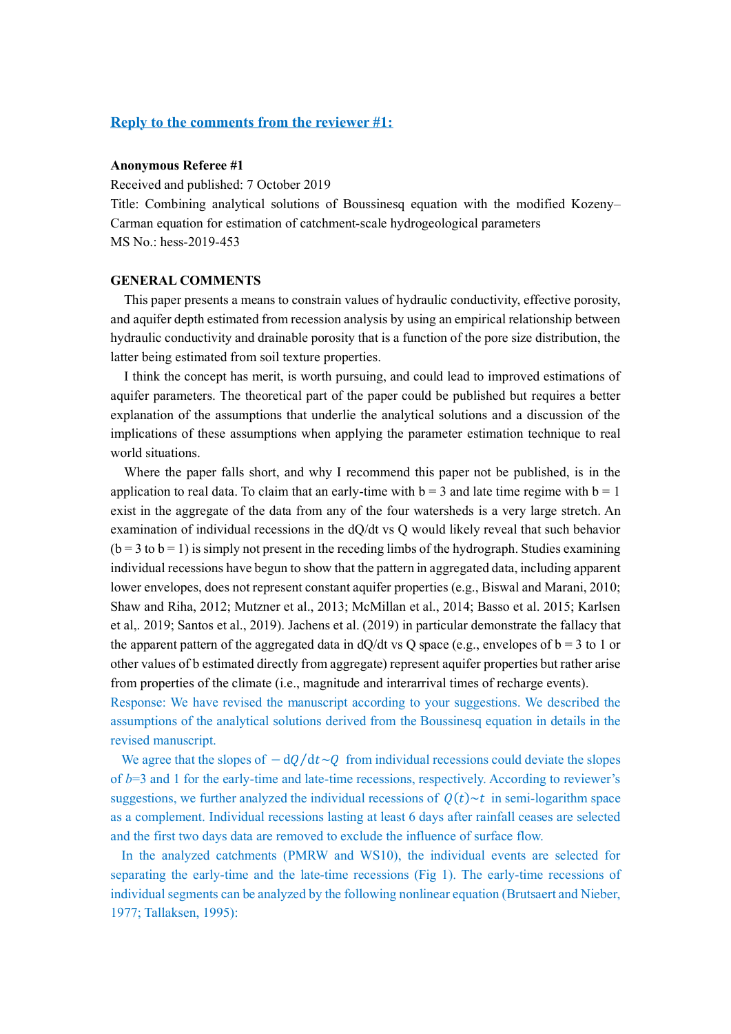#### **Reply to the comments from the reviewer #1:**

#### **Anonymous Referee #1**

Received and published: 7 October 2019

Title: Combining analytical solutions of Boussinesq equation with the modified Kozeny– Carman equation for estimation of catchment-scale hydrogeological parameters MS No.: hess-2019-453

#### **GENERAL COMMENTS**

This paper presents a means to constrain values of hydraulic conductivity, effective porosity, and aquifer depth estimated from recession analysis by using an empirical relationship between hydraulic conductivity and drainable porosity that is a function of the pore size distribution, the latter being estimated from soil texture properties.

I think the concept has merit, is worth pursuing, and could lead to improved estimations of aquifer parameters. The theoretical part of the paper could be published but requires a better explanation of the assumptions that underlie the analytical solutions and a discussion of the implications of these assumptions when applying the parameter estimation technique to real world situations.

Where the paper falls short, and why I recommend this paper not be published, is in the application to real data. To claim that an early-time with  $b = 3$  and late time regime with  $b = 1$ exist in the aggregate of the data from any of the four watersheds is a very large stretch. An examination of individual recessions in the dQ/dt vs Q would likely reveal that such behavior  $(b=3$  to  $b=1$ ) is simply not present in the receding limbs of the hydrograph. Studies examining individual recessions have begun to show that the pattern in aggregated data, including apparent lower envelopes, does not represent constant aquifer properties (e.g., Biswal and Marani, 2010; Shaw and Riha, 2012; Mutzner et al., 2013; McMillan et al., 2014; Basso et al. 2015; Karlsen et al,. 2019; Santos et al., 2019). Jachens et al. (2019) in particular demonstrate the fallacy that the apparent pattern of the aggregated data in dQ/dt vs Q space (e.g., envelopes of  $b = 3$  to 1 or other values of b estimated directly from aggregate) represent aquifer properties but rather arise from properties of the climate (i.e., magnitude and interarrival times of recharge events).

Response: We have revised the manuscript according to your suggestions. We described the assumptions of the analytical solutions derived from the Boussinesq equation in details in the revised manuscript.

We agree that the slopes of  $-dO/dt \sim 0$  from individual recessions could deviate the slopes of *b*=3 and 1 for the early-time and late-time recessions, respectively. According to reviewer's suggestions, we further analyzed the individual recessions of  $Q(t) \sim t$  in semi-logarithm space as a complement. Individual recessions lasting at least 6 days after rainfall ceases are selected and the first two days data are removed to exclude the influence of surface flow.

 In the analyzed catchments (PMRW and WS10), the individual events are selected for separating the early-time and the late-time recessions (Fig 1). The early-time recessions of individual segments can be analyzed by the following nonlinear equation (Brutsaert and Nieber, 1977; Tallaksen, 1995):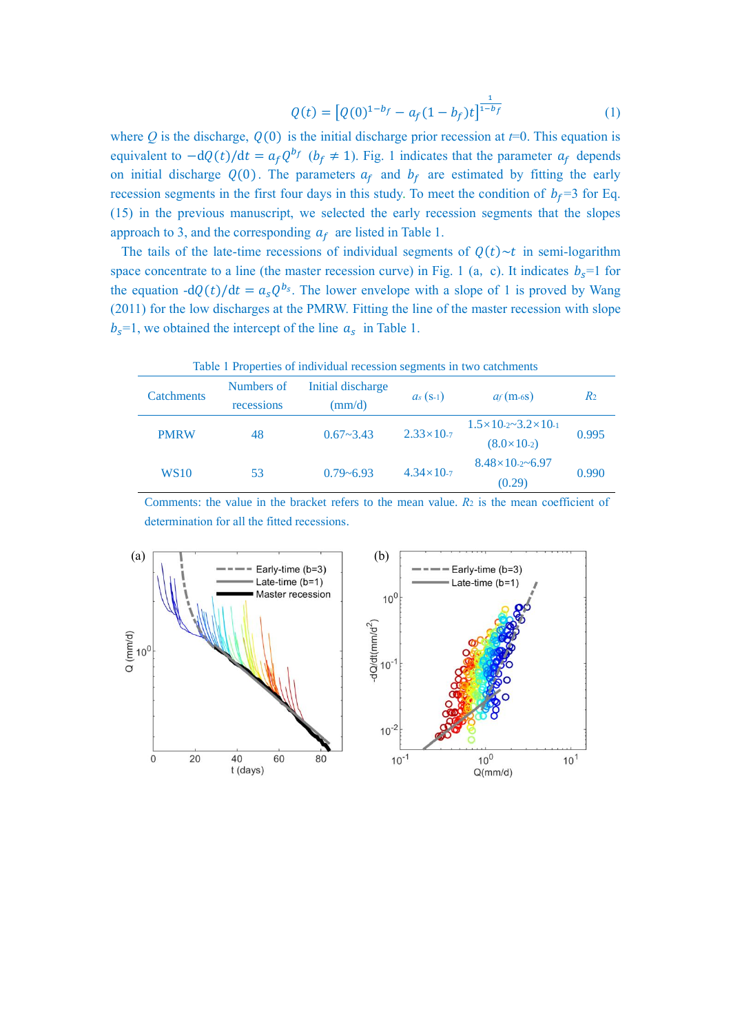$$
Q(t) = [Q(0)^{1-b_f} - a_f(1-b_f)t]^{\frac{1}{1-b_f}}
$$
\n(1)

where  $Q$  is the discharge,  $Q(0)$  is the initial discharge prior recession at  $t=0$ . This equation is equivalent to  $-dQ(t)/dt = a_f Q^{b_f}$  ( $b_f \ne 1$ ). Fig. 1 indicates that the parameter  $a_f$  depends on initial discharge  $Q(0)$ . The parameters  $a_f$  and  $b_f$  are estimated by fitting the early recession segments in the first four days in this study. To meet the condition of  $b_f = 3$  for Eq. (15) in the previous manuscript, we selected the early recession segments that the slopes approach to 3, and the corresponding  $a_f$  are listed in Table 1.

The tails of the late-time recessions of individual segments of  $Q(t) \sim t$  in semi-logarithm space concentrate to a line (the master recession curve) in Fig. 1 (a, c). It indicates  $b_s$ =1 for the equation  $-dQ(t)/dt = a_s Q^{b_s}$ . The lower envelope with a slope of 1 is proved by Wang (2011) for the low discharges at the PMRW. Fitting the line of the master recession with slope  $b_s$ =1, we obtained the intercept of the line  $a_s$  in Table 1.

| Table 1 Properties of individual recession segments in two catchments |                          |                                      |                       |                                                                  |                |
|-----------------------------------------------------------------------|--------------------------|--------------------------------------|-----------------------|------------------------------------------------------------------|----------------|
| <b>Catchments</b>                                                     | Numbers of<br>recessions | Initial discharge<br>$\text{(mm/d)}$ | $a_s$ (s-1)           | $a_f(m$ -6S)                                                     | R <sub>2</sub> |
| <b>PMRW</b>                                                           | 48                       | $0.67 - 3.43$                        | $2.33 \times 10^{-7}$ | $1.5 \times 10^{-2} - 3.2 \times 10^{-1}$<br>$(8.0 \times 10.2)$ | 0.995          |
| <b>WS10</b>                                                           | 53                       | $0.79 - 6.93$                        | $4.34 \times 10^{-7}$ | $8.48 \times 10^{-2}$ 6.97<br>(0.29)                             | 0.990          |

Comments: the value in the bracket refers to the mean value. *R*<sup>2</sup> is the mean coefficient of determination for all the fitted recessions.

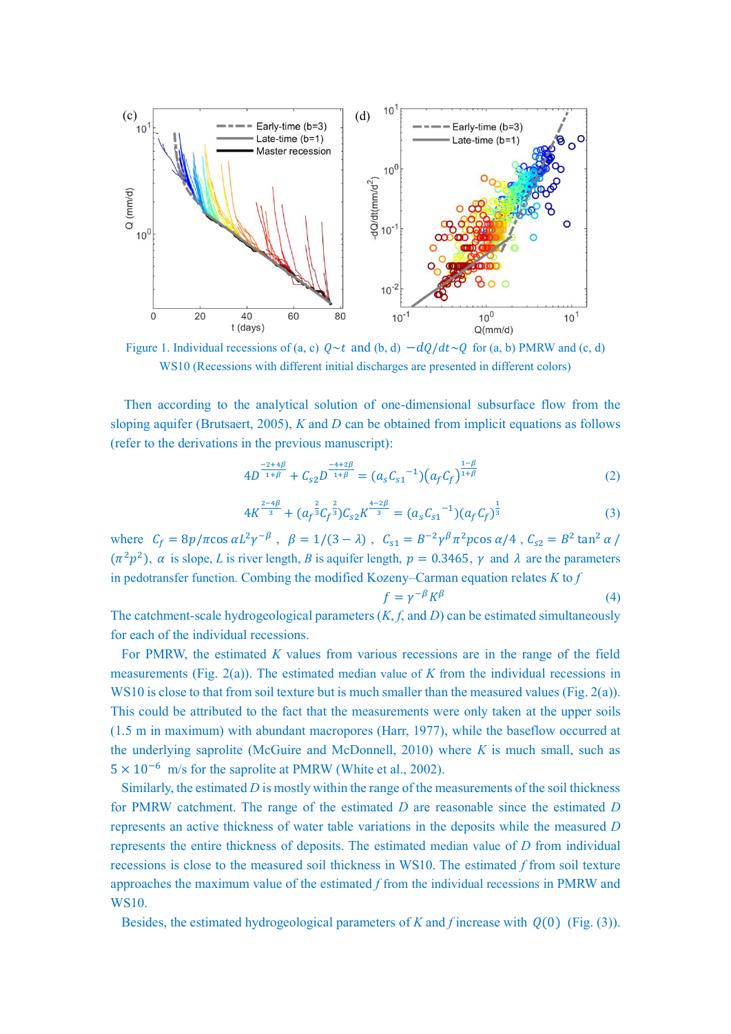

Figure 1. Individual recessions of (a, c)  $Q \sim t$  and (b, d)  $-dQ/dt \sim Q$  for (a, b) PMRW and (c, d) WS10 (Recessions with different initial discharges are presented in different colors)

Then according to the analytical solution of one-dimensional subsurface flow from the sloping aquifer (Brutsaert, 2005), *K* and *D* can be obtained from implicit equations as follows (refer to the derivations in the previous manuscript):

$$
4D^{\frac{-2+4\beta}{1+\beta}} + C_{s2}D^{\frac{-4+2\beta}{1+\beta}} = (a_sC_{s1}^{-1})(a_fC_f)^{\frac{1-\beta}{1+\beta}}
$$
\n(2)

$$
4K^{\frac{2-4\beta}{3}} + (a_f^{\frac{2}{3}}C_f^{\frac{2}{3}})C_{s2}K^{\frac{4-2\beta}{3}} = (a_sC_{s1}^{-1})(a_fC_f)^{\frac{1}{3}}
$$
(3)

where  $C_f = 8p/\pi \cos \alpha L^2 \gamma^{-\beta}$ ,  $\beta = 1/(3 - \lambda)$ ,  $C_{s1} = B^{-2}\gamma^{\beta} \pi^2 p \cos \alpha/4$ ,  $C_{s2} = B^2 \tan^2 \alpha$  $(\pi^2 p^2)$ ,  $\alpha$  is slope, *L* is river length, *B* is aquifer length,  $p = 0.3465$ ,  $\gamma$  and  $\lambda$  are the parameters in pedotransfer function. Combing the modified Kozeny–Carman equation relates *K* to *f*

$$
f = \gamma^{-\beta} K^{\beta} \tag{4}
$$

The catchment-scale hydrogeological parameters  $(K, f, \text{ and } D)$  can be estimated simultaneously for each of the individual recessions.

 For PMRW, the estimated *K* values from various recessions are in the range of the field measurements (Fig. 2(a)). The estimated median value of *K* from the individual recessions in WS10 is close to that from soil texture but is much smaller than the measured values (Fig. 2(a)). This could be attributed to the fact that the measurements were only taken at the upper soils (1.5 m in maximum) with abundant macropores (Harr, 1977), while the baseflow occurred at the underlying saprolite (McGuire and McDonnell, 2010) where *K* is much small, such as  $5 \times 10^{-6}$  m/s for the saprolite at PMRW (White et al., 2002).

Similarly, the estimated *D* is mostly within the range of the measurements of the soil thickness for PMRW catchment. The range of the estimated *D* are reasonable since the estimated *D* represents an active thickness of water table variations in the deposits while the measured *D* represents the entire thickness of deposits. The estimated median value of *D* from individual recessions is close to the measured soil thickness in WS10. The estimated *f* from soil texture approaches the maximum value of the estimated *f* from the individual recessions in PMRW and WS10.

Besides, the estimated hydrogeological parameters of *K* and *f* increase with  $Q(0)$  (Fig. (3)).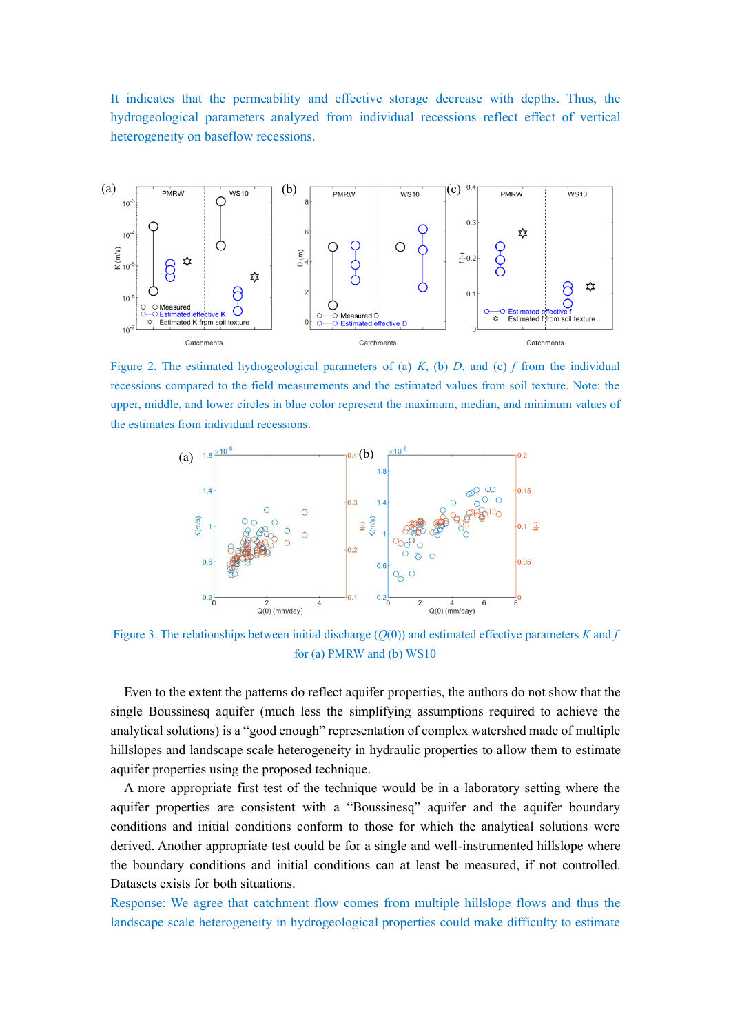It indicates that the permeability and effective storage decrease with depths. Thus, the hydrogeological parameters analyzed from individual recessions reflect effect of vertical heterogeneity on baseflow recessions.



Figure 2. The estimated hydrogeological parameters of (a) *K*, (b) *D*, and (c) *f* from the individual recessions compared to the field measurements and the estimated values from soil texture. Note: the upper, middle, and lower circles in blue color represent the maximum, median, and minimum values of the estimates from individual recessions.



Figure 3. The relationships between initial discharge  $(Q(0))$  and estimated effective parameters *K* and *f* for (a) PMRW and (b) WS10

Even to the extent the patterns do reflect aquifer properties, the authors do not show that the single Boussinesq aquifer (much less the simplifying assumptions required to achieve the analytical solutions) is a "good enough" representation of complex watershed made of multiple hillslopes and landscape scale heterogeneity in hydraulic properties to allow them to estimate aquifer properties using the proposed technique.

A more appropriate first test of the technique would be in a laboratory setting where the aquifer properties are consistent with a "Boussinesq" aquifer and the aquifer boundary conditions and initial conditions conform to those for which the analytical solutions were derived. Another appropriate test could be for a single and well-instrumented hillslope where the boundary conditions and initial conditions can at least be measured, if not controlled. Datasets exists for both situations.

Response: We agree that catchment flow comes from multiple hillslope flows and thus the landscape scale heterogeneity in hydrogeological properties could make difficulty to estimate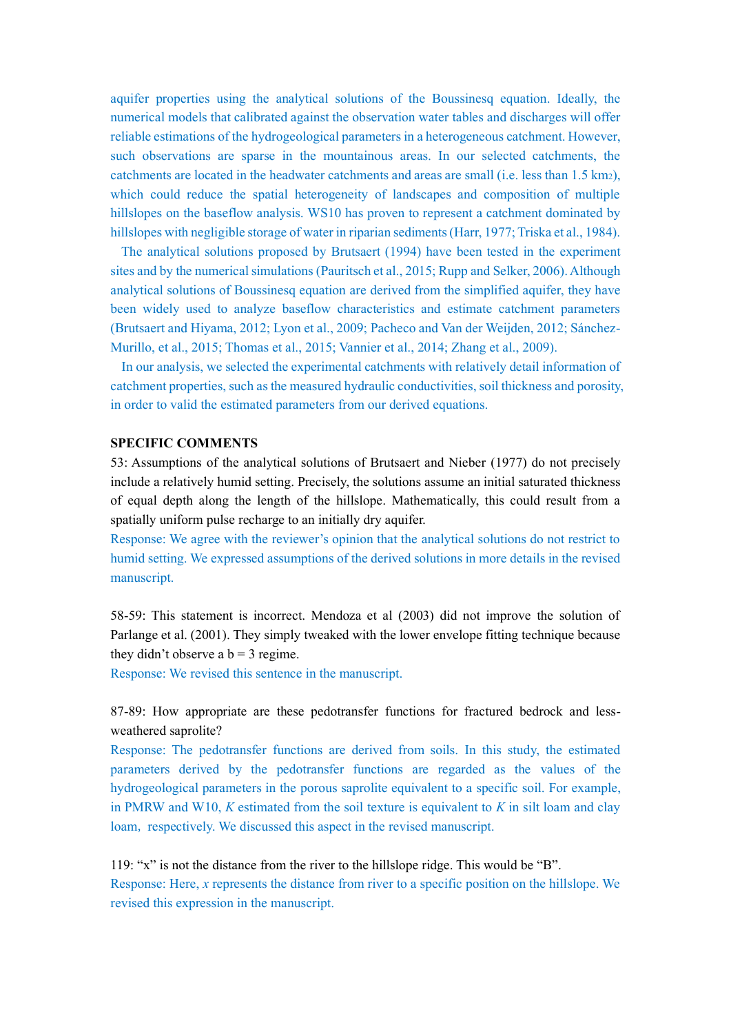aquifer properties using the analytical solutions of the Boussinesq equation. Ideally, the numerical models that calibrated against the observation water tables and discharges will offer reliable estimations of the hydrogeological parameters in a heterogeneous catchment. However, such observations are sparse in the mountainous areas. In our selected catchments, the catchments are located in the headwater catchments and areas are small (i.e. less than 1.5 km2), which could reduce the spatial heterogeneity of landscapes and composition of multiple hillslopes on the baseflow analysis. WS10 has proven to represent a catchment dominated by hillslopes with negligible storage of water in riparian sediments (Harr, 1977; Triska et al., 1984).

The analytical solutions proposed by Brutsaert (1994) have been tested in the experiment sites and by the numerical simulations (Pauritsch et al., 2015; Rupp and Selker, 2006). Although analytical solutions of Boussinesq equation are derived from the simplified aquifer, they have been widely used to analyze baseflow characteristics and estimate catchment parameters (Brutsaert and Hiyama, 2012; Lyon et al., 2009; Pacheco and Van der Weijden, 2012; Sánchez-Murillo, et al., 2015; Thomas et al., 2015; Vannier et al., 2014; Zhang et al., 2009).

In our analysis, we selected the experimental catchments with relatively detail information of catchment properties, such as the measured hydraulic conductivities, soil thickness and porosity, in order to valid the estimated parameters from our derived equations.

### **SPECIFIC COMMENTS**

53: Assumptions of the analytical solutions of Brutsaert and Nieber (1977) do not precisely include a relatively humid setting. Precisely, the solutions assume an initial saturated thickness of equal depth along the length of the hillslope. Mathematically, this could result from a spatially uniform pulse recharge to an initially dry aquifer.

Response: We agree with the reviewer's opinion that the analytical solutions do not restrict to humid setting. We expressed assumptions of the derived solutions in more details in the revised manuscript.

58-59: This statement is incorrect. Mendoza et al (2003) did not improve the solution of Parlange et al. (2001). They simply tweaked with the lower envelope fitting technique because they didn't observe a  $b = 3$  regime.

Response: We revised this sentence in the manuscript.

87-89: How appropriate are these pedotransfer functions for fractured bedrock and lessweathered saprolite?

Response: The pedotransfer functions are derived from soils. In this study, the estimated parameters derived by the pedotransfer functions are regarded as the values of the hydrogeological parameters in the porous saprolite equivalent to a specific soil. For example, in PMRW and W10, *K* estimated from the soil texture is equivalent to *K* in silt loam and clay loam, respectively. We discussed this aspect in the revised manuscript.

119: "x" is not the distance from the river to the hillslope ridge. This would be "B". Response: Here, *x* represents the distance from river to a specific position on the hillslope. We revised this expression in the manuscript.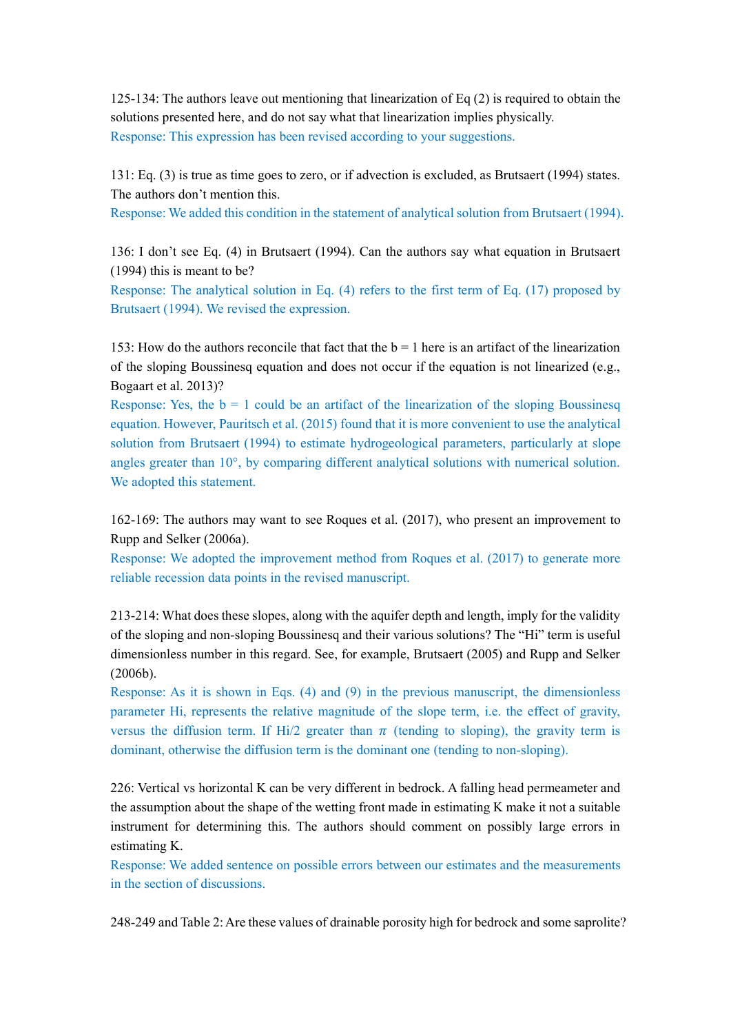125-134: The authors leave out mentioning that linearization of Eq (2) is required to obtain the solutions presented here, and do not say what that linearization implies physically. Response: This expression has been revised according to your suggestions.

131: Eq. (3) is true as time goes to zero, or if advection is excluded, as Brutsaert (1994) states. The authors don't mention this.

Response: We added this condition in the statement of analytical solution from Brutsaert (1994).

136: I don't see Eq. (4) in Brutsaert (1994). Can the authors say what equation in Brutsaert (1994) this is meant to be?

Response: The analytical solution in Eq. (4) refers to the first term of Eq. (17) proposed by Brutsaert (1994). We revised the expression.

153: How do the authors reconcile that fact that the  $b = 1$  here is an artifact of the linearization of the sloping Boussinesq equation and does not occur if the equation is not linearized (e.g., Bogaart et al. 2013)?

Response: Yes, the  $b = 1$  could be an artifact of the linearization of the sloping Boussinesq equation. However, Pauritsch et al. (2015) found that it is more convenient to use the analytical solution from Brutsaert (1994) to estimate hydrogeological parameters, particularly at slope angles greater than 10°, by comparing different analytical solutions with numerical solution. We adopted this statement.

162-169: The authors may want to see Roques et al. (2017), who present an improvement to Rupp and Selker (2006a).

Response: We adopted the improvement method from Roques et al. (2017) to generate more reliable recession data points in the revised manuscript.

213-214: What does these slopes, along with the aquifer depth and length, imply for the validity of the sloping and non-sloping Boussinesq and their various solutions? The "Hi" term is useful dimensionless number in this regard. See, for example, Brutsaert (2005) and Rupp and Selker (2006b).

Response: As it is shown in Eqs. (4) and (9) in the previous manuscript, the dimensionless parameter Hi, represents the relative magnitude of the slope term, i.e. the effect of gravity, versus the diffusion term. If Hi/2 greater than  $\pi$  (tending to sloping), the gravity term is dominant, otherwise the diffusion term is the dominant one (tending to non-sloping).

226: Vertical vs horizontal K can be very different in bedrock. A falling head permeameter and the assumption about the shape of the wetting front made in estimating K make it not a suitable instrument for determining this. The authors should comment on possibly large errors in estimating K.

Response: We added sentence on possible errors between our estimates and the measurements in the section of discussions.

248-249 and Table 2: Are these values of drainable porosity high for bedrock and some saprolite?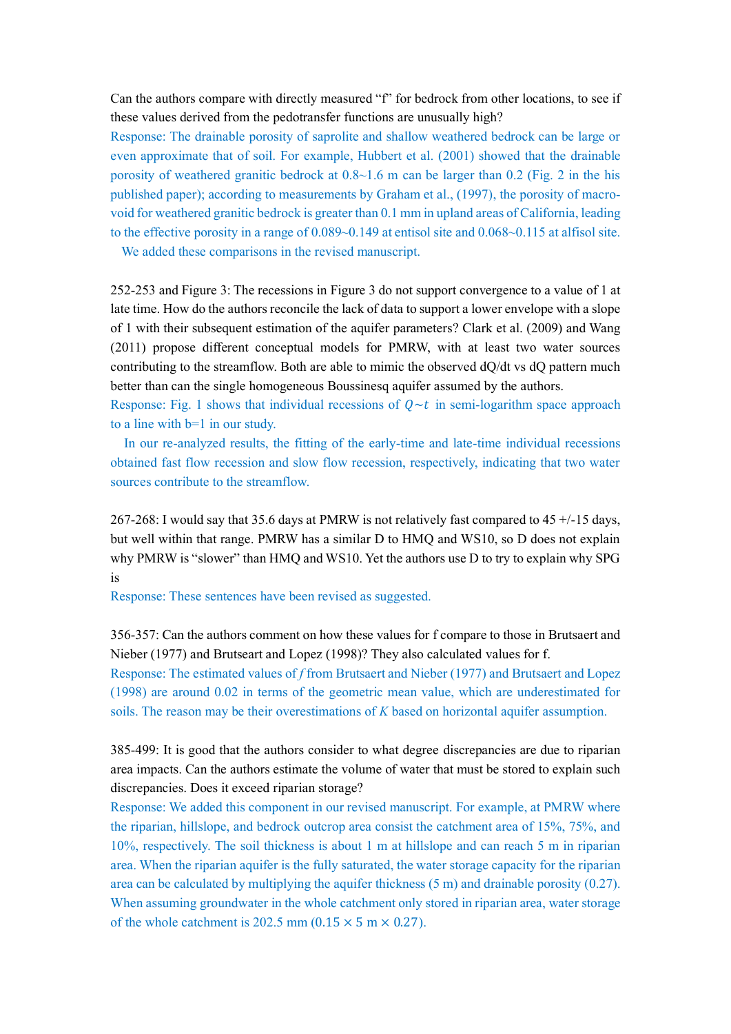Can the authors compare with directly measured "f" for bedrock from other locations, to see if these values derived from the pedotransfer functions are unusually high?

Response: The drainable porosity of saprolite and shallow weathered bedrock can be large or even approximate that of soil. For example, Hubbert et al. (2001) showed that the drainable porosity of weathered granitic bedrock at 0.8~1.6 m can be larger than 0.2 (Fig. 2 in the his published paper); according to measurements by Graham et al., (1997), the porosity of macrovoid for weathered granitic bedrock is greater than 0.1 mm in upland areas of California, leading to the effective porosity in a range of 0.089~0.149 at entisol site and 0.068~0.115 at alfisol site. We added these comparisons in the revised manuscript.

252-253 and Figure 3: The recessions in Figure 3 do not support convergence to a value of 1 at late time. How do the authors reconcile the lack of data to support a lower envelope with a slope of 1 with their subsequent estimation of the aquifer parameters? Clark et al. (2009) and Wang (2011) propose different conceptual models for PMRW, with at least two water sources contributing to the streamflow. Both are able to mimic the observed dQ/dt vs dQ pattern much better than can the single homogeneous Boussinesq aquifer assumed by the authors.

Response: Fig. 1 shows that individual recessions of  $Q \sim t$  in semi-logarithm space approach to a line with b=1 in our study.

In our re-analyzed results, the fitting of the early-time and late-time individual recessions obtained fast flow recession and slow flow recession, respectively, indicating that two water sources contribute to the streamflow.

267-268: I would say that 35.6 days at PMRW is not relatively fast compared to 45 +/-15 days, but well within that range. PMRW has a similar D to HMQ and WS10, so D does not explain why PMRW is "slower" than HMQ and WS10. Yet the authors use D to try to explain why SPG is

Response: These sentences have been revised as suggested.

356-357: Can the authors comment on how these values for f compare to those in Brutsaert and Nieber (1977) and Brutseart and Lopez (1998)? They also calculated values for f.

Response: The estimated values of *f* from Brutsaert and Nieber (1977) and Brutsaert and Lopez (1998) are around 0.02 in terms of the geometric mean value, which are underestimated for soils. The reason may be their overestimations of *K* based on horizontal aquifer assumption.

385-499: It is good that the authors consider to what degree discrepancies are due to riparian area impacts. Can the authors estimate the volume of water that must be stored to explain such discrepancies. Does it exceed riparian storage?

Response: We added this component in our revised manuscript. For example, at PMRW where the riparian, hillslope, and bedrock outcrop area consist the catchment area of 15%, 75%, and 10%, respectively. The soil thickness is about 1 m at hillslope and can reach 5 m in riparian area. When the riparian aquifer is the fully saturated, the water storage capacity for the riparian area can be calculated by multiplying the aquifer thickness (5 m) and drainable porosity (0.27). When assuming groundwater in the whole catchment only stored in riparian area, water storage of the whole catchment is 202.5 mm ( $0.15 \times 5$  m  $\times$  0.27).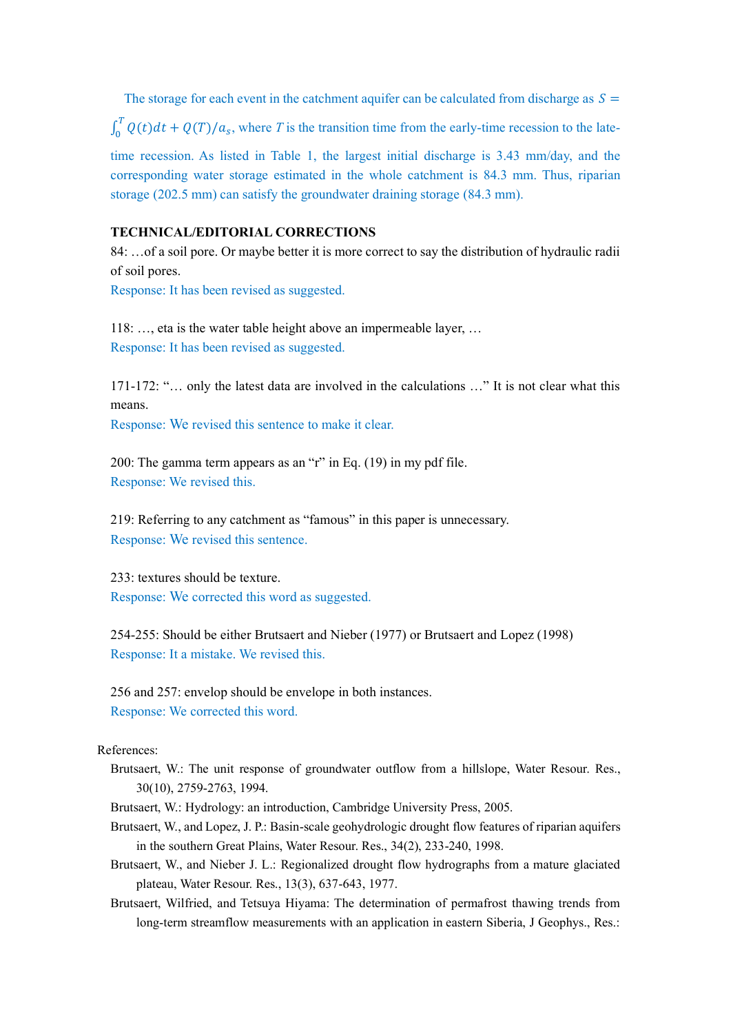The storage for each event in the catchment aquifer can be calculated from discharge as  $S =$ 

 $\int_0^T Q(t) dt + Q(T)/a_s$ , where *T* is the transition time from the early-time recession to the late-

time recession. As listed in Table 1, the largest initial discharge is 3.43 mm/day, and the corresponding water storage estimated in the whole catchment is 84.3 mm. Thus, riparian storage (202.5 mm) can satisfy the groundwater draining storage (84.3 mm).

## **TECHNICAL/EDITORIAL CORRECTIONS**

84: …of a soil pore. Or maybe better it is more correct to say the distribution of hydraulic radii of soil pores.

Response: It has been revised as suggested.

118: …, eta is the water table height above an impermeable layer, … Response: It has been revised as suggested.

171-172: "… only the latest data are involved in the calculations …" It is not clear what this means.

Response: We revised this sentence to make it clear.

200: The gamma term appears as an "r" in Eq. (19) in my pdf file. Response: We revised this.

219: Referring to any catchment as "famous" in this paper is unnecessary. Response: We revised this sentence.

233: textures should be texture. Response: We corrected this word as suggested.

254-255: Should be either Brutsaert and Nieber (1977) or Brutsaert and Lopez (1998) Response: It a mistake. We revised this.

256 and 257: envelop should be envelope in both instances. Response: We corrected this word.

# References:

- Brutsaert, W.: The unit response of groundwater outflow from a hillslope, Water Resour. Res., 30(10), 2759-2763, 1994.
- Brutsaert, W.: Hydrology: an introduction, Cambridge University Press, 2005.
- Brutsaert, W., and Lopez, J. P.: Basin-scale geohydrologic drought flow features of riparian aquifers in the southern Great Plains, Water Resour. Res., 34(2), 233-240, 1998.
- Brutsaert, W., and Nieber J. L.: Regionalized drought flow hydrographs from a mature glaciated plateau, Water Resour. Res., 13(3), 637-643, 1977.
- Brutsaert, Wilfried, and Tetsuya Hiyama: The determination of permafrost thawing trends from long‐term streamflow measurements with an application in eastern Siberia, J Geophys., Res.: